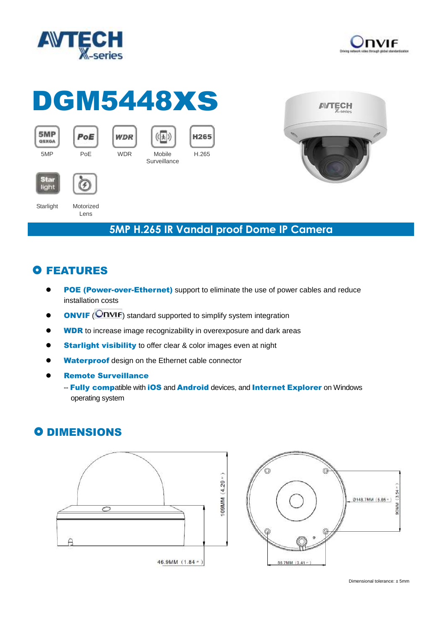



# DGM5448xs

| 5MP | PoE |
|-----|-----|
|     |     |



Lens









SG a light

Starlight Motorized

#### **5MP H.265 IR Vandal proof Dome IP Camera**

## **O FEATURES**

- POE (Power-over-Ethernet) support to eliminate the use of power cables and reduce installation costs
- **ONVIF** (**ONVIF**) standard supported to simplify system integration
- **WDR** to increase image recognizability in overexposure and dark areas
- **Starlight visibility** to offer clear & color images even at night
- Waterproof design on the Ethernet cable connector
- Remote Surveillance
	- -- Fully compatible with iOS and Android devices, and Internet Explorer on Windows operating system

### **O DIMENSIONS**



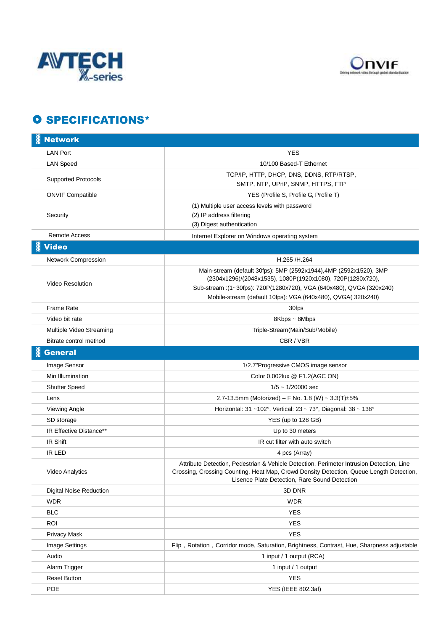



#### **O SPECIFICATIONS\***

| <b>Network</b>                                     |                                                                                                                                                                                                                                      |
|----------------------------------------------------|--------------------------------------------------------------------------------------------------------------------------------------------------------------------------------------------------------------------------------------|
| <b>LAN Port</b>                                    | <b>YES</b>                                                                                                                                                                                                                           |
| <b>LAN Speed</b>                                   | 10/100 Based-T Ethernet                                                                                                                                                                                                              |
| <b>Supported Protocols</b>                         | TCP/IP, HTTP, DHCP, DNS, DDNS, RTP/RTSP,<br>SMTP, NTP, UPnP, SNMP, HTTPS, FTP                                                                                                                                                        |
| <b>ONVIF Compatible</b>                            | YES (Profile S, Profile G, Profile T)                                                                                                                                                                                                |
| Security                                           | (1) Multiple user access levels with password<br>(2) IP address filtering<br>(3) Digest authentication                                                                                                                               |
| <b>Remote Access</b>                               | Internet Explorer on Windows operating system                                                                                                                                                                                        |
| <b>Video</b>                                       |                                                                                                                                                                                                                                      |
| Network Compression                                | H.265 /H.264                                                                                                                                                                                                                         |
| <b>Video Resolution</b>                            | Main-stream (default 30fps): 5MP (2592x1944), 4MP (2592x1520), 3MP<br>(2304x1296)/(2048x1535), 1080P(1920x1080), 720P(1280x720),<br>Sub-stream: (1~30fps): 720P(1280x720), VGA (640x480), QVGA (320x240)                             |
| <b>Frame Rate</b>                                  | Mobile-stream (default 10fps): VGA (640x480), QVGA( 320x240)                                                                                                                                                                         |
| Video bit rate                                     | 30fps<br>8Kbps ~ 8Mbps                                                                                                                                                                                                               |
|                                                    | Triple-Stream(Main/Sub/Mobile)                                                                                                                                                                                                       |
| Multiple Video Streaming<br>Bitrate control method | CBR / VBR                                                                                                                                                                                                                            |
|                                                    |                                                                                                                                                                                                                                      |
| <b>General</b>                                     |                                                                                                                                                                                                                                      |
| Image Sensor                                       | 1/2.7"Progressive CMOS image sensor                                                                                                                                                                                                  |
| Min Illumination                                   | Color 0.002lux @ F1.2(AGC ON)                                                                                                                                                                                                        |
| <b>Shutter Speed</b>                               | $1/5 \sim 1/20000$ sec                                                                                                                                                                                                               |
| Lens                                               | 2.7-13.5mm (Motorized) – F No. 1.8 (W) ~ 3.3(T)±5%                                                                                                                                                                                   |
| Viewing Angle                                      | Horizontal: $31 - 102^\circ$ , Vertical: $23 - 73^\circ$ , Diagonal: $38 - 138^\circ$                                                                                                                                                |
| SD storage                                         | YES (up to 128 GB)                                                                                                                                                                                                                   |
| IR Effective Distance**                            | Up to 30 meters                                                                                                                                                                                                                      |
| IR Shift                                           | IR cut filter with auto switch                                                                                                                                                                                                       |
| <b>IR LED</b>                                      | 4 pcs (Array)                                                                                                                                                                                                                        |
| Video Analytics                                    | Attribute Detection, Pedestrian & Vehicle Detection, Perimeter Intrusion Detection, Line<br>Crossing, Crossing Counting, Heat Map, Crowd Density Detection, Queue Length Detection,<br>Lisence Plate Detection, Rare Sound Detection |
| <b>Digital Noise Reduction</b>                     | 3D DNR                                                                                                                                                                                                                               |
| <b>WDR</b>                                         | <b>WDR</b>                                                                                                                                                                                                                           |
| <b>BLC</b>                                         | <b>YES</b>                                                                                                                                                                                                                           |
| <b>ROI</b>                                         | <b>YES</b>                                                                                                                                                                                                                           |
| <b>Privacy Mask</b>                                | <b>YES</b>                                                                                                                                                                                                                           |
| Image Settings                                     | Flip, Rotation, Corridor mode, Saturation, Brightness, Contrast, Hue, Sharpness adjustable                                                                                                                                           |
| Audio                                              | 1 input / 1 output (RCA)                                                                                                                                                                                                             |
| Alarm Trigger                                      | 1 input / 1 output                                                                                                                                                                                                                   |
| <b>Reset Button</b>                                | <b>YES</b>                                                                                                                                                                                                                           |
| POE                                                | YES (IEEE 802.3af)                                                                                                                                                                                                                   |